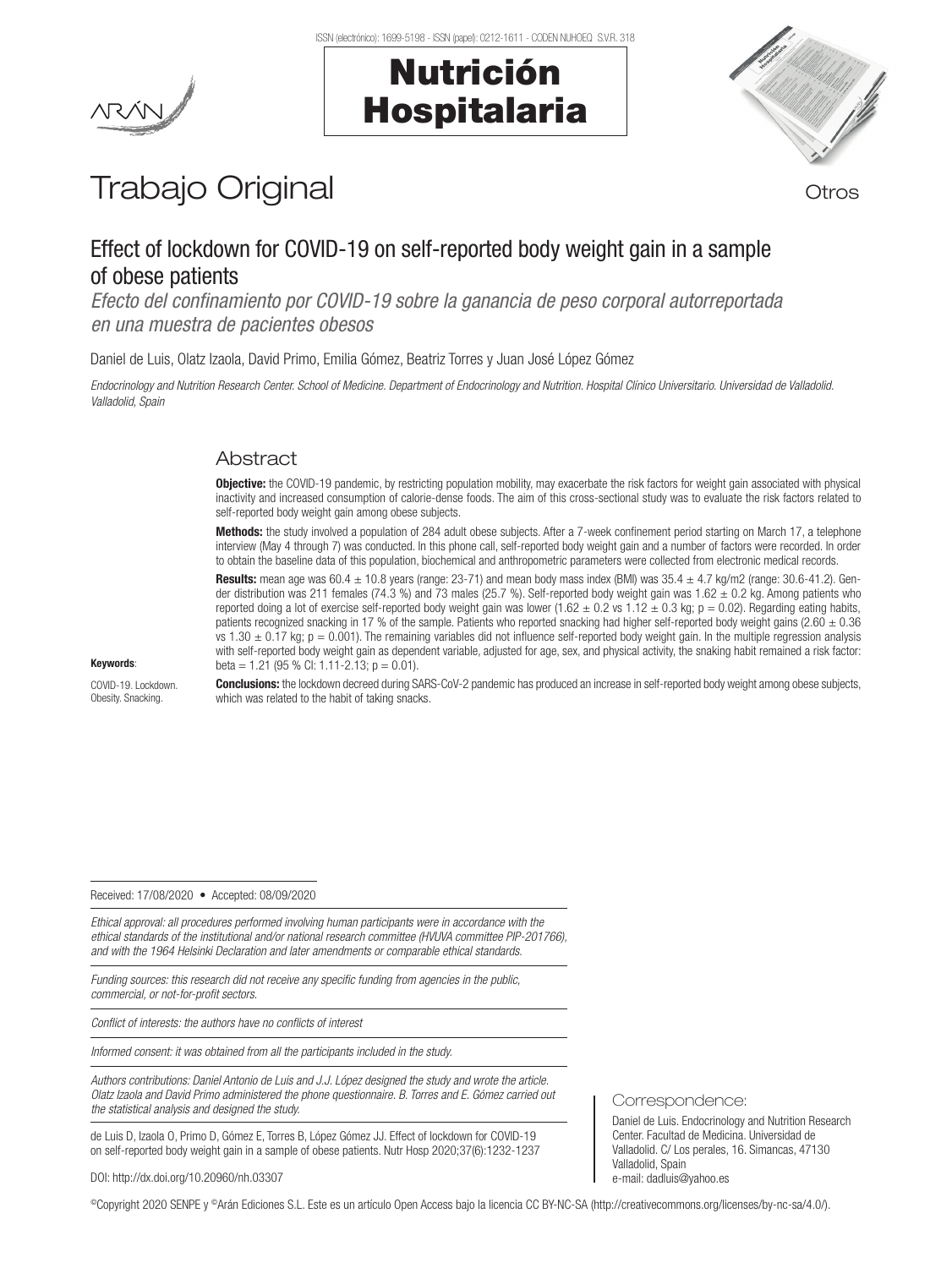Nutrición

Hospitalaria



# Trabajo Original **Trabajo Original**

# Effect of lockdown for COVID-19 on self-reported body weight gain in a sample of obese patients

*Efecto del confinamiento por COVID-19 sobre la ganancia de peso corporal autorreportada en una muestra de pacientes obesos*

Daniel de Luis, Olatz Izaola, David Primo, Emilia Gómez, Beatriz Torres y Juan José López Gómez

*Endocrinology and Nutrition Research Center. School of Medicine. Department of Endocrinology and Nutrition. Hospital Clínico Universitario. Universidad de Valladolid. Valladolid, Spain* 

# Abstract

Objective: the COVID-19 pandemic, by restricting population mobility, may exacerbate the risk factors for weight gain associated with physical inactivity and increased consumption of calorie-dense foods. The aim of this cross-sectional study was to evaluate the risk factors related to self-reported body weight gain among obese subjects.

Methods: the study involved a population of 284 adult obese subjects. After a 7-week confinement period starting on March 17, a telephone interview (May 4 through 7) was conducted. In this phone call, self-reported body weight gain and a number of factors were recorded. In order to obtain the baseline data of this population, biochemical and anthropometric parameters were collected from electronic medical records.

**Results:** mean age was 60.4  $\pm$  10.8 years (range: 23-71) and mean body mass index (BMI) was 35.4  $\pm$  4.7 kg/m2 (range: 30.6-41.2). Gender distribution was 211 females (74.3 %) and 73 males (25.7 %). Self-reported body weight gain was  $1.62 \pm 0.2$  kg. Among patients who reported doing a lot of exercise self-reported body weight gain was lower (1.62  $\pm$  0.2 vs 1.12  $\pm$  0.3 kg; p = 0.02). Regarding eating habits, patients recognized snacking in 17 % of the sample. Patients who reported snacking had higher self-reported body weight gains (2.60  $\pm$  0.36 vs  $1.30 \pm 0.17$  kg;  $p = 0.001$ ). The remaining variables did not influence self-reported body weight gain. In the multiple regression analysis with self-reported body weight gain as dependent variable, adjusted for age, sex, and physical activity, the snaking habit remained a risk factor: beta = 1.21 (95 % CI: 1.11-2.13;  $p = 0.01$ ).

#### Keywords:

COVID-19. Lockdown. Obesity. Snacking.

Conclusions: the lockdown decreed during SARS-CoV-2 pandemic has produced an increase in self-reported body weight among obese subjects, which was related to the habit of taking snacks.

#### Received: 17/08/2020 • Accepted: 08/09/2020

*Ethical approval: all procedures performed involving human participants were in accordance with the ethical standards of the institutional and/or national research committee (HVUVA committee PIP-201766), and with the 1964 Helsinki Declaration and later amendments or comparable ethical standards.*

*Funding sources: this research did not receive any specific funding from agencies in the public, commercial, or not-for-profit sectors.*

*Conflict of interests: the authors have no conflicts of interest*

*Informed consent: it was obtained from all the participants included in the study.*

*Authors contributions: Daniel Antonio de Luis and J.J. López designed the study and wrote the article. Olatz Izaola and David Primo administered the phone questionnaire. B. Torres and E. Gómez carried out the statistical analysis and designed the study.*

de Luis D, Izaola O, Primo D, Gómez E, Torres B, López Gómez JJ. Effect of lockdown for COVID-19 on self-reported body weight gain in a sample of obese patients. Nutr Hosp 2020;37(6):1232-1237

#### DOI: http://dx.doi.org/10.20960/nh.03307

©Copyright 2020 SENPE y ©Arán Ediciones S.L. Este es un artículo Open Access bajo la licencia CC BY-NC-SA (http://creativecommons.org/licenses/by-nc-sa/4.0/).

Correspondence:

Daniel de Luis. Endocrinology and Nutrition Research Center. Facultad de Medicina. Universidad de Valladolid. C/ Los perales, 16. Simancas, 47130 Valladolid, Spain e-mail: dadluis@yahoo.es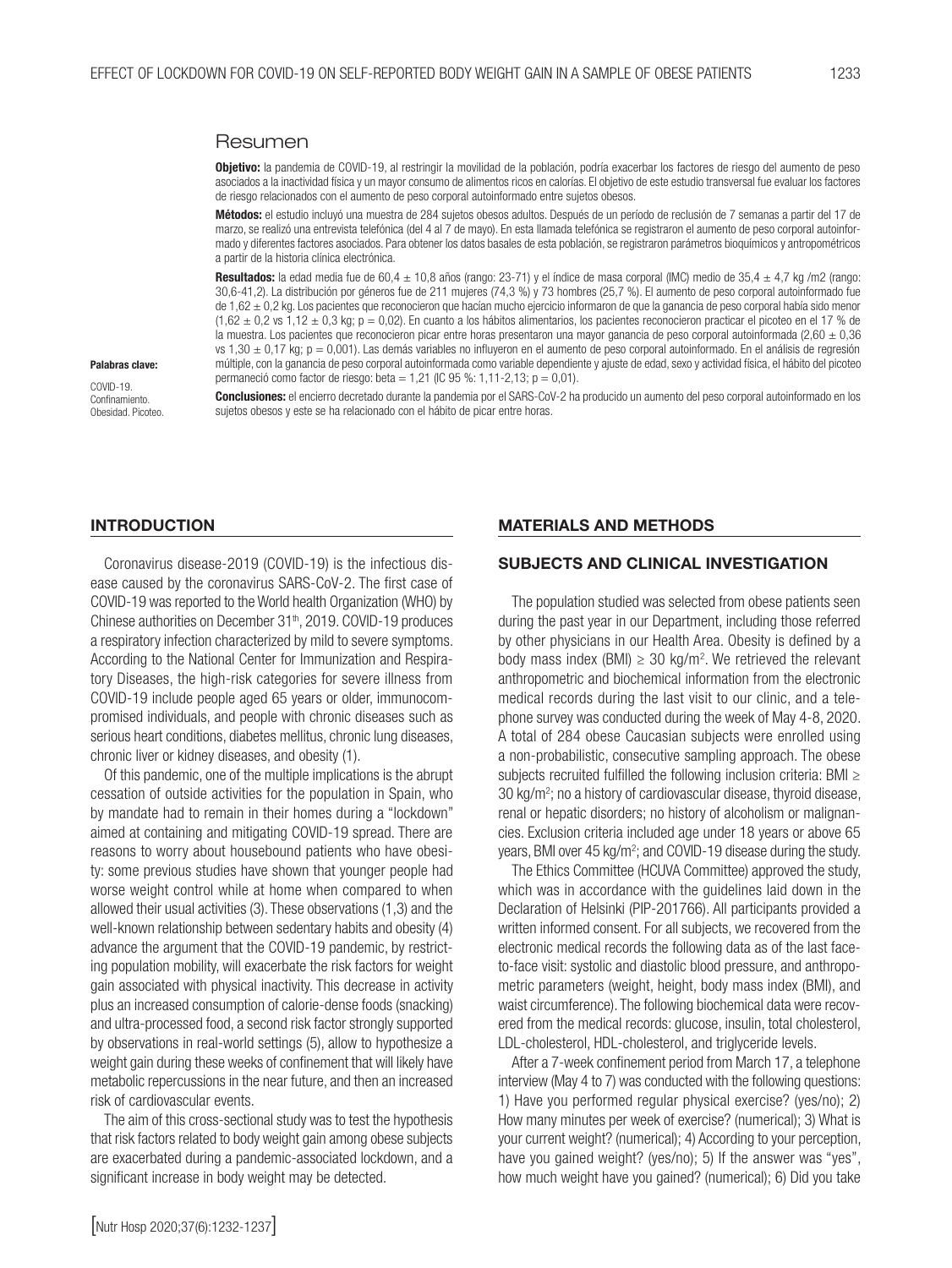#### Resumen

Objetivo: la pandemia de COVID-19, al restringir la movilidad de la población, podría exacerbar los factores de riesgo del aumento de peso asociados a la inactividad física y un mayor consumo de alimentos ricos en calorías. El objetivo de este estudio transversal fue evaluar los factores de riesgo relacionados con el aumento de peso corporal autoinformado entre sujetos obesos.

Métodos: el estudio incluyó una muestra de 284 sujetos obesos adultos. Después de un período de reclusión de 7 semanas a partir del 17 de marzo, se realizó una entrevista telefónica (del 4 al 7 de mayo). En esta llamada telefónica se registraron el aumento de peso corporal autoinformado y diferentes factores asociados. Para obtener los datos basales de esta población, se registraron parámetros bioquímicos y antropométricos a partir de la historia clínica electrónica.

Resultados: la edad media fue de 60,4  $\pm$  10,8 años (rango: 23-71) y el índice de masa corporal (IMC) medio de 35,4  $\pm$  4,7 kg /m2 (rango: 30,6-41,2). La distribución por géneros fue de 211 mujeres (74,3 %) y 73 hombres (25,7 %). El aumento de peso corporal autoinformado fue de 1,62 ± 0,2 kg. Los pacientes que reconocieron que hacían mucho ejercicio informaron de que la ganancia de peso corporal había sido menor  $(1,62 \pm 0.2 \text{ vs } 1,12 \pm 0.3 \text{ kg}; p = 0.02)$ . En cuanto a los hábitos alimentarios, los pacientes reconocieron practicar el picoteo en el 17 % de la muestra. Los pacientes que reconocieron picar entre horas presentaron una mayor ganancia de peso corporal autoinformada (2,60  $\pm$  0,36 vs  $1,30 \pm 0,17$  kg;  $p = 0,001$ ). Las demás variables no influyeron en el aumento de peso corporal autoinformado. En el análisis de regresión múltiple, con la ganancia de peso corporal autoinformada como variable dependiente y ajuste de edad, sexo y actividad física, el hábito del picoteo permaneció como factor de riesgo: beta = 1,21 (IC 95 %: 1,11-2,13; p = 0,01).

Palabras clave:

COVID-19. Confinamiento. Obesidad. Picoteo.

Conclusiones: el encierro decretado durante la pandemia por el SARS-CoV-2 ha producido un aumento del peso corporal autoinformado en los sujetos obesos y este se ha relacionado con el hábito de picar entre horas.

#### INTRODUCTION

Coronavirus disease-2019 (COVID-19) is the infectious disease caused by the coronavirus SARS-CoV-2. The first case of COVID-19 was reported to the World health Organization (WHO) by Chinese authorities on December 31<sup>th</sup>, 2019. COVID-19 produces a respiratory infection characterized by mild to severe symptoms. According to the National Center for Immunization and Respiratory Diseases, the high-risk categories for severe illness from COVID-19 include people aged 65 years or older, immunocompromised individuals, and people with chronic diseases such as serious heart conditions, diabetes mellitus, chronic lung diseases, chronic liver or kidney diseases, and obesity (1).

Of this pandemic, one of the multiple implications is the abrupt cessation of outside activities for the population in Spain, who by mandate had to remain in their homes during a "lockdown" aimed at containing and mitigating COVID-19 spread. There are reasons to worry about housebound patients who have obesity: some previous studies have shown that younger people had worse weight control while at home when compared to when allowed their usual activities (3). These observations (1,3) and the well-known relationship between sedentary habits and obesity (4) advance the argument that the COVID-19 pandemic, by restricting population mobility, will exacerbate the risk factors for weight gain associated with physical inactivity. This decrease in activity plus an increased consumption of calorie-dense foods (snacking) and ultra-processed food, a second risk factor strongly supported by observations in real-world settings (5), allow to hypothesize a weight gain during these weeks of confinement that will likely have metabolic repercussions in the near future, and then an increased risk of cardiovascular events.

The aim of this cross-sectional study was to test the hypothesis that risk factors related to body weight gain among obese subjects are exacerbated during a pandemic-associated lockdown, and a significant increase in body weight may be detected.

#### MATERIALS AND METHODS

#### SUBJECTS AND CLINICAL INVESTIGATION

The population studied was selected from obese patients seen during the past year in our Department, including those referred by other physicians in our Health Area. Obesity is defined by a body mass index (BMI)  $\geq$  30 kg/m<sup>2</sup>. We retrieved the relevant anthropometric and biochemical information from the electronic medical records during the last visit to our clinic, and a telephone survey was conducted during the week of May 4-8, 2020. A total of 284 obese Caucasian subjects were enrolled using a non-probabilistic, consecutive sampling approach. The obese subjects recruited fulfilled the following inclusion criteria: BMI ≥ 30 kg/m2 ; no a history of cardiovascular disease, thyroid disease, renal or hepatic disorders; no history of alcoholism or malignancies. Exclusion criteria included age under 18 years or above 65 years, BMI over 45 kg/m<sup>2</sup>; and COVID-19 disease during the study.

The Ethics Committee (HCUVA Committee) approved the study, which was in accordance with the guidelines laid down in the Declaration of Helsinki (PIP-201766). All participants provided a written informed consent. For all subjects, we recovered from the electronic medical records the following data as of the last faceto-face visit: systolic and diastolic blood pressure, and anthropometric parameters (weight, height, body mass index (BMI), and waist circumference). The following biochemical data were recovered from the medical records: glucose, insulin, total cholesterol, LDL-cholesterol, HDL-cholesterol, and triglyceride levels.

After a 7-week confinement period from March 17, a telephone interview (May 4 to 7) was conducted with the following questions: 1) Have you performed regular physical exercise? (yes/no); 2) How many minutes per week of exercise? (numerical); 3) What is your current weight? (numerical); 4) According to your perception, have you gained weight? (yes/no); 5) If the answer was "yes", how much weight have you gained? (numerical); 6) Did you take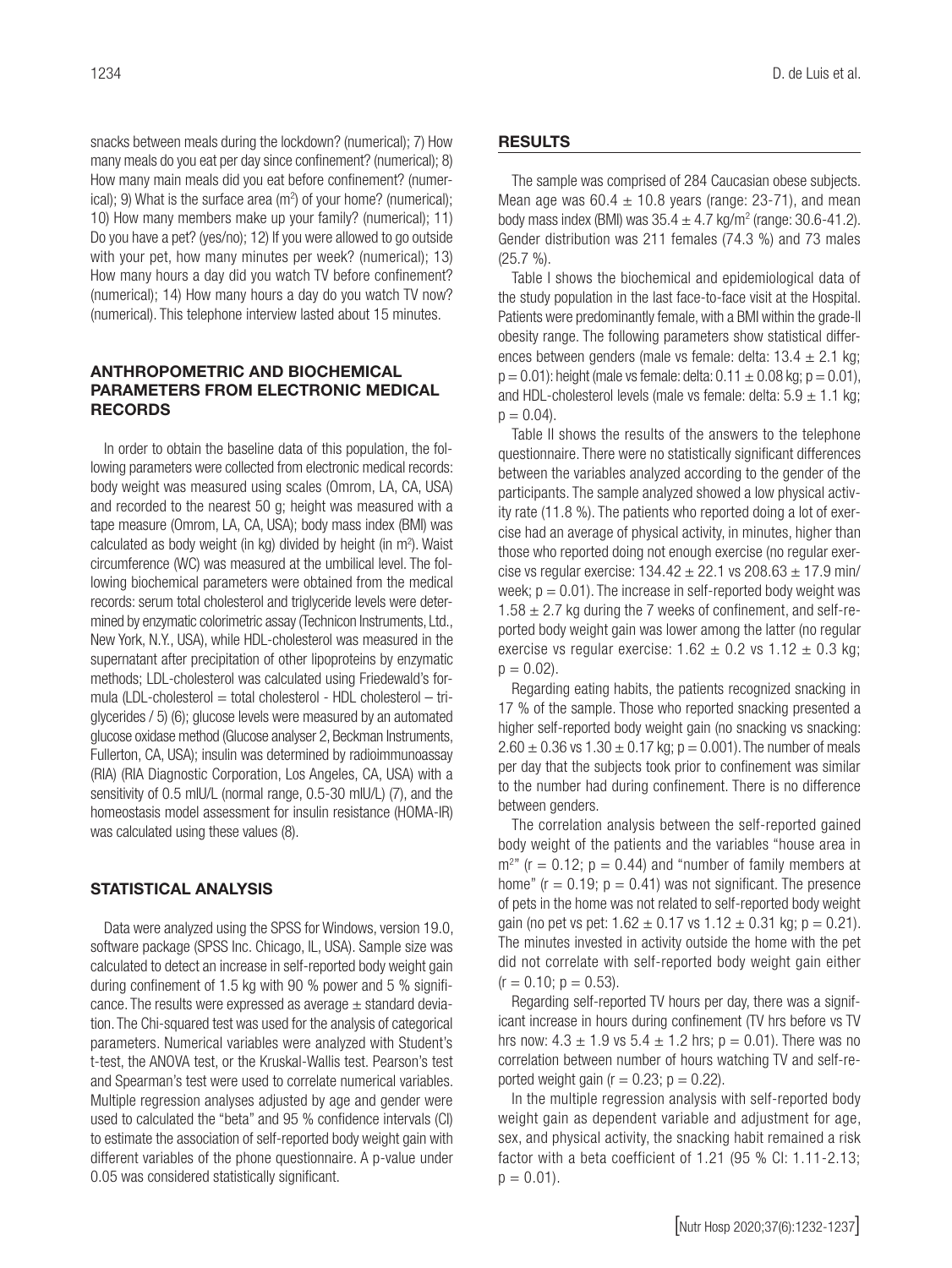snacks between meals during the lockdown? (numerical); 7) How many meals do you eat per day since confinement? (numerical); 8) How many main meals did you eat before confinement? (numerical); 9) What is the surface area  $(m<sup>2</sup>)$  of your home? (numerical); 10) How many members make up your family? (numerical); 11) Do you have a pet? (yes/no); 12) If you were allowed to go outside with your pet, how many minutes per week? (numerical); 13) How many hours a day did you watch TV before confinement? (numerical); 14) How many hours a day do you watch TV now? (numerical). This telephone interview lasted about 15 minutes.

## ANTHROPOMETRIC AND BIOCHEMICAL PARAMETERS FROM ELECTRONIC MEDICAL RECORDS

In order to obtain the baseline data of this population, the following parameters were collected from electronic medical records: body weight was measured using scales (Omrom, LA, CA, USA) and recorded to the nearest 50 g; height was measured with a tape measure (Omrom, LA, CA, USA); body mass index (BMI) was calculated as body weight (in kg) divided by height (in m<sup>2</sup>). Waist circumference (WC) was measured at the umbilical level. The following biochemical parameters were obtained from the medical records: serum total cholesterol and triglyceride levels were determined by enzymatic colorimetric assay (Technicon Instruments, Ltd., New York, N.Y., USA), while HDL-cholesterol was measured in the supernatant after precipitation of other lipoproteins by enzymatic methods; LDL-cholesterol was calculated using Friedewald's formula (LDL-cholesterol = total cholesterol - HDL cholesterol – triglycerides / 5) (6); glucose levels were measured by an automated glucose oxidase method (Glucose analyser 2, Beckman Instruments, Fullerton, CA, USA); insulin was determined by radioimmunoassay (RIA) (RIA Diagnostic Corporation, Los Angeles, CA, USA) with a sensitivity of 0.5 mIU/L (normal range, 0.5-30 mIU/L) (7), and the homeostasis model assessment for insulin resistance (HOMA-IR) was calculated using these values (8).

# STATISTICAL ANALYSIS

Data were analyzed using the SPSS for Windows, version 19.0, software package (SPSS Inc. Chicago, IL, USA). Sample size was calculated to detect an increase in self-reported body weight gain during confinement of 1.5 kg with 90 % power and 5 % significance. The results were expressed as average  $\pm$  standard deviation. The Chi-squared test was used for the analysis of categorical parameters. Numerical variables were analyzed with Student's t-test, the ANOVA test, or the Kruskal-Wallis test. Pearson's test and Spearman's test were used to correlate numerical variables. Multiple regression analyses adjusted by age and gender were used to calculated the "beta" and 95 % confidence intervals (CI) to estimate the association of self-reported body weight gain with different variables of the phone questionnaire. A p-value under 0.05 was considered statistically significant.

# RESULTS

The sample was comprised of 284 Caucasian obese subjects. Mean age was  $60.4 \pm 10.8$  years (range: 23-71), and mean body mass index (BMI) was  $35.4 \pm 4.7$  kg/m<sup>2</sup> (range: 30.6-41.2). Gender distribution was 211 females (74.3 %) and 73 males (25.7 %).

Table I shows the biochemical and epidemiological data of the study population in the last face-to-face visit at the Hospital. Patients were predominantly female, with a BMI within the grade-II obesity range. The following parameters show statistical differences between genders (male vs female: delta:  $13.4 \pm 2.1$  kg;  $p = 0.01$ : height (male vs female: delta:  $0.11 \pm 0.08$  kg;  $p = 0.01$ ), and HDL-cholesterol levels (male vs female: delta:  $5.9 \pm 1.1$  kg;  $p = 0.04$ .

Table II shows the results of the answers to the telephone questionnaire. There were no statistically significant differences between the variables analyzed according to the gender of the participants. The sample analyzed showed a low physical activity rate (11.8 %). The patients who reported doing a lot of exercise had an average of physical activity, in minutes, higher than those who reported doing not enough exercise (no regular exercise vs regular exercise:  $134.42 \pm 22.1$  vs  $208.63 \pm 17.9$  min/ week;  $p = 0.01$ . The increase in self-reported body weight was  $1.58 \pm 2.7$  kg during the 7 weeks of confinement, and self-reported body weight gain was lower among the latter (no regular exercise vs regular exercise:  $1.62 \pm 0.2$  vs  $1.12 \pm 0.3$  kg;  $p = 0.02$ ).

Regarding eating habits, the patients recognized snacking in 17 % of the sample. Those who reported snacking presented a higher self-reported body weight gain (no snacking vs snacking:  $2.60 \pm 0.36$  vs  $1.30 \pm 0.17$  kg; p = 0.001). The number of meals per day that the subjects took prior to confinement was similar to the number had during confinement. There is no difference between genders.

The correlation analysis between the self-reported gained body weight of the patients and the variables "house area in  $m^{2}$ " (r = 0.12; p = 0.44) and "number of family members at home" ( $r = 0.19$ ;  $p = 0.41$ ) was not significant. The presence of pets in the home was not related to self-reported body weight gain (no pet vs pet:  $1.62 \pm 0.17$  vs  $1.12 \pm 0.31$  kg; p = 0.21). The minutes invested in activity outside the home with the pet did not correlate with self-reported body weight gain either  $(r = 0.10; p = 0.53)$ .

Regarding self-reported TV hours per day, there was a significant increase in hours during confinement (TV hrs before vs TV hrs now:  $4.3 \pm 1.9$  vs  $5.4 \pm 1.2$  hrs;  $p = 0.01$ ). There was no correlation between number of hours watching TV and self-reported weight gain ( $r = 0.23$ ;  $p = 0.22$ ).

In the multiple regression analysis with self-reported body weight gain as dependent variable and adjustment for age, sex, and physical activity, the snacking habit remained a risk factor with a beta coefficient of 1.21 (95 % CI: 1.11-2.13;  $p = 0.01$ ).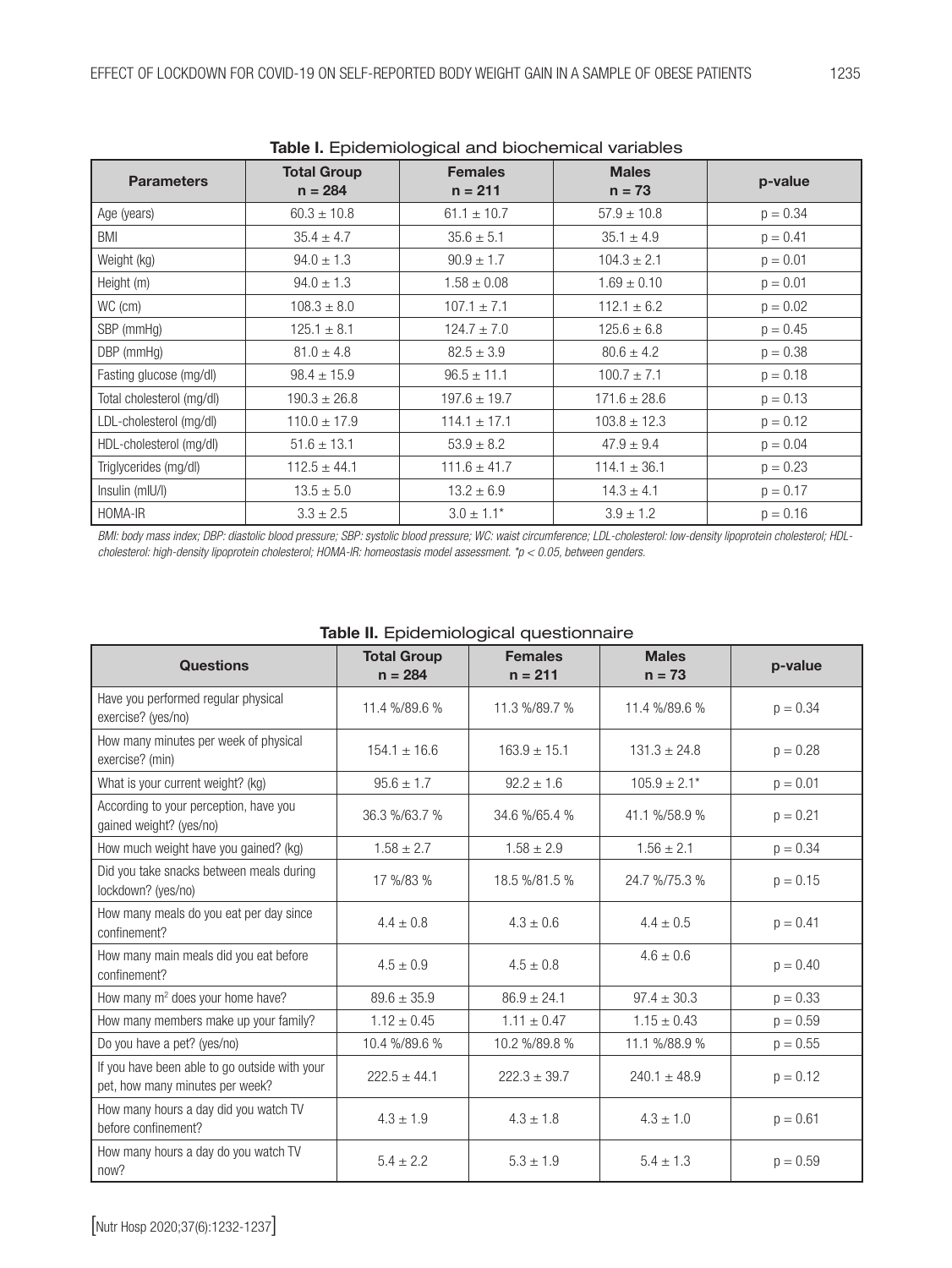| <b>Table I.</b> Epideri libioglear and blocher lical variables |                    |                  |                  |            |  |  |  |
|----------------------------------------------------------------|--------------------|------------------|------------------|------------|--|--|--|
| <b>Parameters</b>                                              | <b>Total Group</b> | <b>Females</b>   | <b>Males</b>     | p-value    |  |  |  |
|                                                                | $n = 284$          | $n = 211$        | $n = 73$         |            |  |  |  |
| Age (years)                                                    | $60.3 \pm 10.8$    | $61.1 \pm 10.7$  | $57.9 \pm 10.8$  | $p = 0.34$ |  |  |  |
| BMI                                                            | $35.4 \pm 4.7$     | $35.6 \pm 5.1$   | $35.1 \pm 4.9$   | $p = 0.41$ |  |  |  |
| Weight (kg)                                                    | $94.0 \pm 1.3$     | $90.9 \pm 1.7$   | $104.3 \pm 2.1$  | $p = 0.01$ |  |  |  |
| Height (m)                                                     | $94.0 \pm 1.3$     | $1.58 \pm 0.08$  | $1.69 \pm 0.10$  | $p = 0.01$ |  |  |  |
| WC (cm)                                                        | $108.3 \pm 8.0$    | $107.1 \pm 7.1$  | $112.1 \pm 6.2$  | $p = 0.02$ |  |  |  |
| SBP (mmHq)                                                     | $125.1 \pm 8.1$    | $124.7 \pm 7.0$  | $125.6 \pm 6.8$  | $p = 0.45$ |  |  |  |
| DBP (mmHg)                                                     | $81.0 \pm 4.8$     | $82.5 \pm 3.9$   | $80.6 \pm 4.2$   | $p = 0.38$ |  |  |  |
| Fasting glucose (mg/dl)                                        | $98.4 \pm 15.9$    | $96.5 \pm 11.1$  | $100.7 \pm 7.1$  | $p = 0.18$ |  |  |  |
| Total cholesterol (mg/dl)                                      | $190.3 \pm 26.8$   | $197.6 \pm 19.7$ | $171.6 \pm 28.6$ | $p = 0.13$ |  |  |  |
| LDL-cholesterol (mg/dl)                                        | $110.0 \pm 17.9$   | $114.1 \pm 17.1$ | $103.8 \pm 12.3$ | $p = 0.12$ |  |  |  |
| HDL-cholesterol (mg/dl)                                        | $51.6 \pm 13.1$    | $53.9 \pm 8.2$   | $47.9 \pm 9.4$   | $p = 0.04$ |  |  |  |
| Triglycerides (mg/dl)                                          | $112.5 \pm 44.1$   | $111.6 \pm 41.7$ | $114.1 \pm 36.1$ | $p = 0.23$ |  |  |  |
| Insulin (mIU/I)                                                | $13.5 \pm 5.0$     | $13.2 \pm 6.9$   | $14.3 \pm 4.1$   | $p = 0.17$ |  |  |  |
| HOMA-IR                                                        | $3.3 \pm 2.5$      | $3.0 \pm 1.1^*$  | $3.9 \pm 1.2$    | $p = 0.16$ |  |  |  |

Table I. Epidemiological and biochemical variables

BMI: body mass index; DBP: diastolic blood pressure; SBP: systolic blood pressure; WC: waist circumference; LDL-cholesterol: low-density lipoprotein cholesterol; HDL*cholesterol: high-density lipoprotein cholesterol; HOMA-IR: homeostasis model assessment. \*p < 0.05, between genders.* 

| <b>Questions</b>                                                                 | <b>Total Group</b><br>$n = 284$ | <b>Females</b><br>$n = 211$ | <b>Males</b><br>$n = 73$ | p-value    |  |  |  |
|----------------------------------------------------------------------------------|---------------------------------|-----------------------------|--------------------------|------------|--|--|--|
| Have you performed regular physical<br>exercise? (yes/no)                        | 11.4 %/89.6 %                   | 11.3 %/89.7 %               | 11.4 %/89.6 %            | $p = 0.34$ |  |  |  |
| How many minutes per week of physical<br>exercise? (min)                         | $154.1 \pm 16.6$                | $163.9 \pm 15.1$            | $131.3 \pm 24.8$         | $p = 0.28$ |  |  |  |
| What is your current weight? (kg)                                                | $95.6 \pm 1.7$                  | $92.2 \pm 1.6$              | $105.9 \pm 2.1*$         | $p = 0.01$ |  |  |  |
| According to your perception, have you<br>gained weight? (yes/no)                | 36.3 %/63.7 %                   | 34.6 %/65.4 %               | 41.1 %/58.9 %            | $p = 0.21$ |  |  |  |
| How much weight have you gained? (kg)                                            | $1.58 \pm 2.7$                  | $1.58 \pm 2.9$              | $1.56 \pm 2.1$           | $p = 0.34$ |  |  |  |
| Did you take snacks between meals during<br>lockdown? (yes/no)                   | 17 %/83 %                       | 18.5 %/81.5 %               | 24.7 %/75.3 %            | $p = 0.15$ |  |  |  |
| How many meals do you eat per day since<br>confinement?                          | $4.4 \pm 0.8$                   | $4.3 \pm 0.6$               | $4.4 \pm 0.5$            | $p = 0.41$ |  |  |  |
| How many main meals did you eat before<br>confinement?                           | $4.5 \pm 0.9$                   | $4.5 \pm 0.8$               | $4.6 \pm 0.6$            | $p = 0.40$ |  |  |  |
| How many m <sup>2</sup> does your home have?                                     | $89.6 \pm 35.9$                 | $86.9 \pm 24.1$             | $97.4 \pm 30.3$          | $p = 0.33$ |  |  |  |
| How many members make up your family?                                            | $1.12 \pm 0.45$                 | $1.11 \pm 0.47$             | $1.15 \pm 0.43$          | $p = 0.59$ |  |  |  |
| Do you have a pet? (yes/no)                                                      | 10.4 %/89.6 %                   | 10.2 %/89.8 %               | 11.1 %/88.9 %            | $p = 0.55$ |  |  |  |
| If you have been able to go outside with your<br>pet, how many minutes per week? | $222.5 \pm 44.1$                | $222.3 \pm 39.7$            | $240.1 \pm 48.9$         | $p = 0.12$ |  |  |  |
| How many hours a day did you watch TV<br>before confinement?                     | $4.3 \pm 1.9$                   | $4.3 \pm 1.8$               | $4.3 \pm 1.0$            | $p = 0.61$ |  |  |  |
| How many hours a day do you watch TV<br>now?                                     | $5.4 \pm 2.2$                   | $5.3 \pm 1.9$               | $5.4 \pm 1.3$            | $p = 0.59$ |  |  |  |

# Table II. Epidemiological questionnaire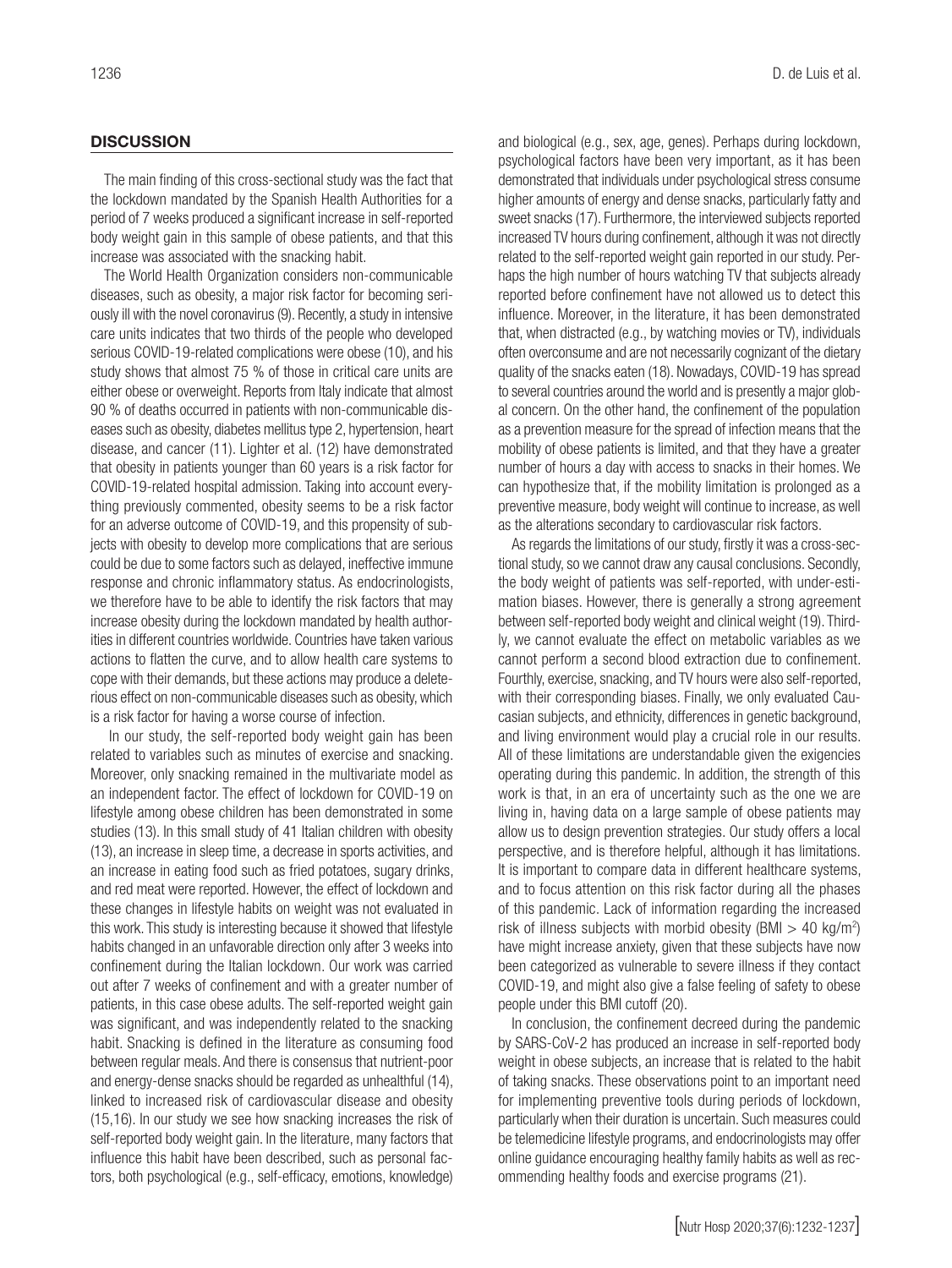## **DISCUSSION**

The main finding of this cross-sectional study was the fact that the lockdown mandated by the Spanish Health Authorities for a period of 7 weeks produced a significant increase in self-reported body weight gain in this sample of obese patients, and that this increase was associated with the snacking habit.

The World Health Organization considers non-communicable diseases, such as obesity, a major risk factor for becoming seriously ill with the novel coronavirus (9). Recently, a study in intensive care units indicates that two thirds of the people who developed serious COVID-19-related complications were obese (10), and his study shows that almost 75 % of those in critical care units are either obese or overweight. Reports from Italy indicate that almost 90 % of deaths occurred in patients with non-communicable diseases such as obesity, diabetes mellitus type 2, hypertension, heart disease, and cancer (11). Lighter et al. (12) have demonstrated that obesity in patients younger than 60 years is a risk factor for COVID-19-related hospital admission. Taking into account everything previously commented, obesity seems to be a risk factor for an adverse outcome of COVID-19, and this propensity of subjects with obesity to develop more complications that are serious could be due to some factors such as delayed, ineffective immune response and chronic inflammatory status. As endocrinologists, we therefore have to be able to identify the risk factors that may increase obesity during the lockdown mandated by health authorities in different countries worldwide. Countries have taken various actions to flatten the curve, and to allow health care systems to cope with their demands, but these actions may produce a deleterious effect on non-communicable diseases such as obesity, which is a risk factor for having a worse course of infection.

 In our study, the self-reported body weight gain has been related to variables such as minutes of exercise and snacking. Moreover, only snacking remained in the multivariate model as an independent factor. The effect of lockdown for COVID-19 on lifestyle among obese children has been demonstrated in some studies (13). In this small study of 41 Italian children with obesity (13), an increase in sleep time, a decrease in sports activities, and an increase in eating food such as fried potatoes, sugary drinks, and red meat were reported. However, the effect of lockdown and these changes in lifestyle habits on weight was not evaluated in this work. This study is interesting because it showed that lifestyle habits changed in an unfavorable direction only after 3 weeks into confinement during the Italian lockdown. Our work was carried out after 7 weeks of confinement and with a greater number of patients, in this case obese adults. The self-reported weight gain was significant, and was independently related to the snacking habit. Snacking is defined in the literature as consuming food between regular meals. And there is consensus that nutrient-poor and energy-dense snacks should be regarded as unhealthful (14), linked to increased risk of cardiovascular disease and obesity (15,16). In our study we see how snacking increases the risk of self-reported body weight gain. In the literature, many factors that influence this habit have been described, such as personal factors, both psychological (e.g., self-efficacy, emotions, knowledge)

and biological (e.g., sex, age, genes). Perhaps during lockdown, psychological factors have been very important, as it has been demonstrated that individuals under psychological stress consume higher amounts of energy and dense snacks, particularly fatty and sweet snacks (17). Furthermore, the interviewed subjects reported increased TV hours during confinement, although it was not directly related to the self-reported weight gain reported in our study. Perhaps the high number of hours watching TV that subjects already reported before confinement have not allowed us to detect this influence. Moreover, in the literature, it has been demonstrated that, when distracted (e.g., by watching movies or TV), individuals often overconsume and are not necessarily cognizant of the dietary quality of the snacks eaten (18). Nowadays, COVID-19 has spread to several countries around the world and is presently a major global concern. On the other hand, the confinement of the population as a prevention measure for the spread of infection means that the mobility of obese patients is limited, and that they have a greater number of hours a day with access to snacks in their homes. We can hypothesize that, if the mobility limitation is prolonged as a preventive measure, body weight will continue to increase, as well as the alterations secondary to cardiovascular risk factors.

As regards the limitations of our study, firstly it was a cross-sectional study, so we cannot draw any causal conclusions. Secondly, the body weight of patients was self-reported, with under-estimation biases. However, there is generally a strong agreement between self-reported body weight and clinical weight (19). Thirdly, we cannot evaluate the effect on metabolic variables as we cannot perform a second blood extraction due to confinement. Fourthly, exercise, snacking, and TV hours were also self-reported, with their corresponding biases. Finally, we only evaluated Caucasian subjects, and ethnicity, differences in genetic background, and living environment would play a crucial role in our results. All of these limitations are understandable given the exigencies operating during this pandemic. In addition, the strength of this work is that, in an era of uncertainty such as the one we are living in, having data on a large sample of obese patients may allow us to design prevention strategies. Our study offers a local perspective, and is therefore helpful, although it has limitations. It is important to compare data in different healthcare systems, and to focus attention on this risk factor during all the phases of this pandemic. Lack of information regarding the increased risk of illness subjects with morbid obesity (BMI  $>$  40 kg/m<sup>2</sup>) have might increase anxiety, given that these subjects have now been categorized as vulnerable to severe illness if they contact COVID-19, and might also give a false feeling of safety to obese people under this BMI cutoff (20).

In conclusion, the confinement decreed during the pandemic by SARS-CoV-2 has produced an increase in self-reported body weight in obese subjects, an increase that is related to the habit of taking snacks. These observations point to an important need for implementing preventive tools during periods of lockdown, particularly when their duration is uncertain. Such measures could be telemedicine lifestyle programs, and endocrinologists may offer online guidance encouraging healthy family habits as well as recommending healthy foods and exercise programs (21).